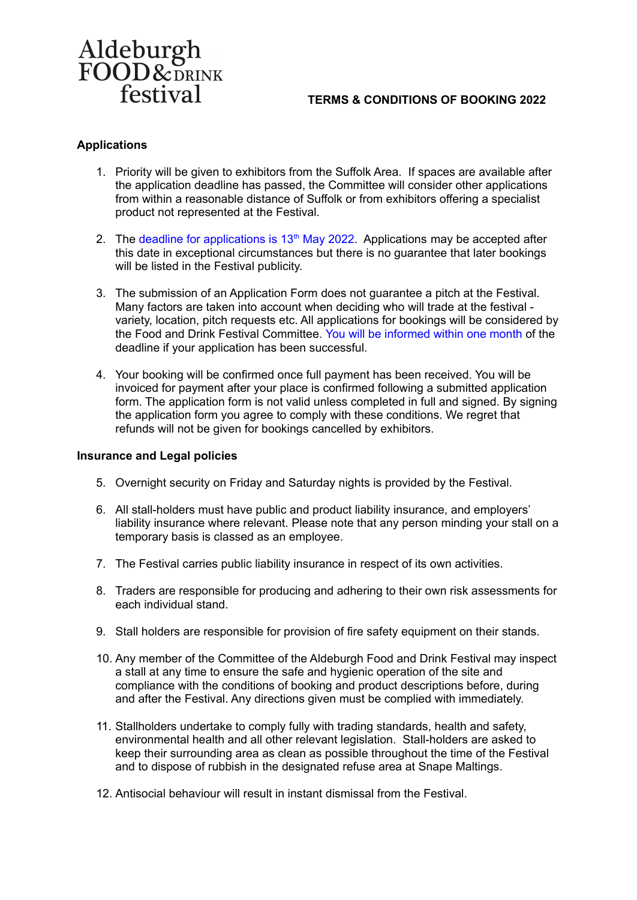# Aldeburgh<br>FOOD&DRINK festival

## **TERMS & CONDITIONS OF BOOKING 2022**

## **Applications**

- 1. Priority will be given to exhibitors from the Suffolk Area. If spaces are available after the application deadline has passed, the Committee will consider other applications from within a reasonable distance of Suffolk or from exhibitors offering a specialist product not represented at the Festival.
- 2. The deadline for applications is  $13<sup>th</sup>$  May 2022. Applications may be accepted after this date in exceptional circumstances but there is no guarantee that later bookings will be listed in the Festival publicity.
- 3. The submission of an Application Form does not guarantee a pitch at the Festival. Many factors are taken into account when deciding who will trade at the festival variety, location, pitch requests etc. All applications for bookings will be considered by the Food and Drink Festival Committee. You will be informed within one month of the deadline if your application has been successful.
- 4. Your booking will be confirmed once full payment has been received. You will be invoiced for payment after your place is confirmed following a submitted application form. The application form is not valid unless completed in full and signed. By signing the application form you agree to comply with these conditions. We regret that refunds will not be given for bookings cancelled by exhibitors.

### **Insurance and Legal policies**

- 5. Overnight security on Friday and Saturday nights is provided by the Festival.
- 6. All stall-holders must have public and product liability insurance, and employers' liability insurance where relevant. Please note that any person minding your stall on a temporary basis is classed as an employee.
- 7. The Festival carries public liability insurance in respect of its own activities.
- 8. Traders are responsible for producing and adhering to their own risk assessments for each individual stand.
- 9. Stall holders are responsible for provision of fire safety equipment on their stands.
- 10. Any member of the Committee of the Aldeburgh Food and Drink Festival may inspect a stall at any time to ensure the safe and hygienic operation of the site and compliance with the conditions of booking and product descriptions before, during and after the Festival. Any directions given must be complied with immediately.
- 11. Stallholders undertake to comply fully with trading standards, health and safety, environmental health and all other relevant legislation. Stall-holders are asked to keep their surrounding area as clean as possible throughout the time of the Festival and to dispose of rubbish in the designated refuse area at Snape Maltings.
- 12. Antisocial behaviour will result in instant dismissal from the Festival.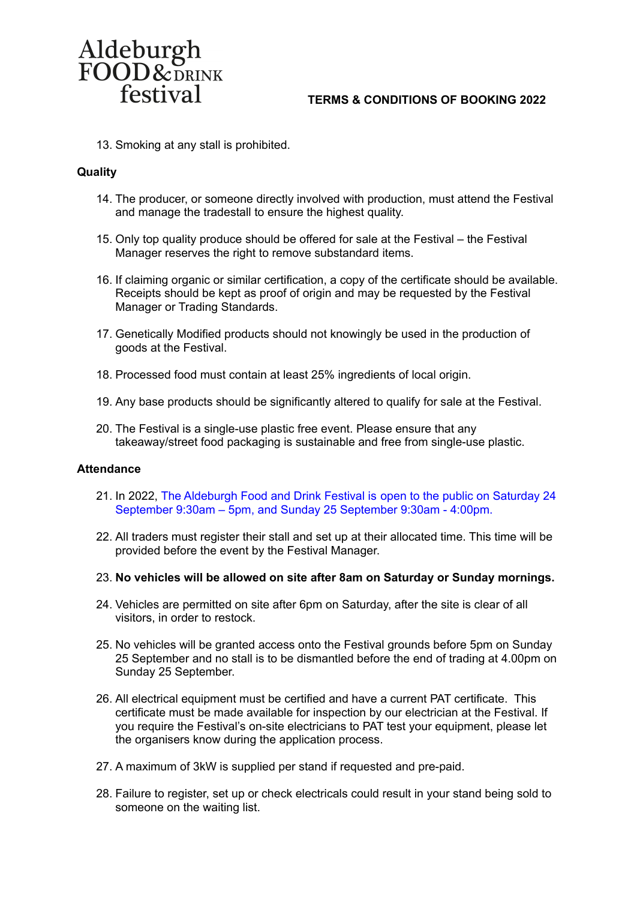

### **TERMS & CONDITIONS OF BOOKING 2022**

13. Smoking at any stall is prohibited.

#### **Quality**

- 14. The producer, or someone directly involved with production, must attend the Festival and manage the tradestall to ensure the highest quality.
- 15. Only top quality produce should be offered for sale at the Festival the Festival Manager reserves the right to remove substandard items.
- 16. If claiming organic or similar certification, a copy of the certificate should be available. Receipts should be kept as proof of origin and may be requested by the Festival Manager or Trading Standards.
- 17. Genetically Modified products should not knowingly be used in the production of goods at the Festival.
- 18. Processed food must contain at least 25% ingredients of local origin.
- 19. Any base products should be significantly altered to qualify for sale at the Festival.
- 20. The Festival is a single-use plastic free event. Please ensure that any takeaway/street food packaging is sustainable and free from single-use plastic.

#### **Attendance**

- 21. In 2022, The Aldeburgh Food and Drink Festival is open to the public on Saturday 24 September 9:30am – 5pm, and Sunday 25 September 9:30am - 4:00pm.
- 22. All traders must register their stall and set up at their allocated time. This time will be provided before the event by the Festival Manager.
- 23. **No vehicles will be allowed on site after 8am on Saturday or Sunday mornings.**
- 24. Vehicles are permitted on site after 6pm on Saturday, after the site is clear of all visitors, in order to restock.
- 25. No vehicles will be granted access onto the Festival grounds before 5pm on Sunday 25 September and no stall is to be dismantled before the end of trading at 4.00pm on Sunday 25 September.
- 26. All electrical equipment must be certified and have a current PAT certificate. This certificate must be made available for inspection by our electrician at the Festival. If you require the Festival's on-site electricians to PAT test your equipment, please let the organisers know during the application process.
- 27. A maximum of 3kW is supplied per stand if requested and pre-paid.
- 28. Failure to register, set up or check electricals could result in your stand being sold to someone on the waiting list.